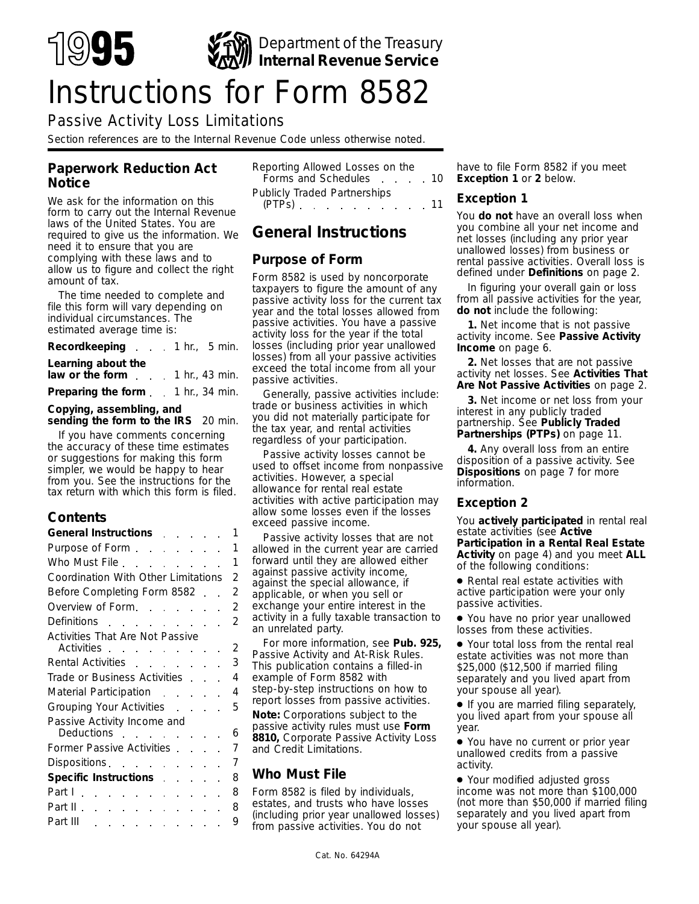

# Instructions for Form 8582

# Passive Activity Loss Limitations

*Section references are to the Internal Revenue Code unless otherwise noted.*

# **Paperwork Reduction Act Notice**

We ask for the information on this form to carry out the Internal Revenue laws of the United States. You are required to give us the information. We need it to ensure that you are complying with these laws and to allow us to figure and collect the right amount of tax.

The time needed to complete and file this form will vary depending on individual circumstances. The estimated average time is:

| Recordkeeping 1 hr., 5 min.                                   |  |  |
|---------------------------------------------------------------|--|--|
| Learning about the<br>law or the form $\ldots$ 1 hr., 43 min. |  |  |
| <b>Preparing the form.</b> 1 hr., 34 min.                     |  |  |
|                                                               |  |  |

#### **Copying, assembling, and sending the form to the IRS** 20 min.

If you have comments concerning the accuracy of these time estimates or suggestions for making this form simpler, we would be happy to hear from you. See the instructions for the tax return with which this form is filed.

# **Contents**

| General Instructions Contract Control                                                                                                                                                                                          | 1              |
|--------------------------------------------------------------------------------------------------------------------------------------------------------------------------------------------------------------------------------|----------------|
| Purpose of Form                                                                                                                                                                                                                | 1              |
| Who Must File                                                                                                                                                                                                                  | 1              |
| Coordination With Other Limitations                                                                                                                                                                                            | 2              |
| Before Completing Form 8582                                                                                                                                                                                                    | $\overline{2}$ |
| Overview of Form.                                                                                                                                                                                                              | 2              |
| Definitions research and the set of the set of the set of the set of the set of the set of the set o                                                                                                                           | 2              |
| <b>Activities That Are Not Passive</b>                                                                                                                                                                                         |                |
| Activities                                                                                                                                                                                                                     | 2              |
| Rental Activities                                                                                                                                                                                                              | 3              |
| Trade or Business Activities.                                                                                                                                                                                                  | 4              |
| Material Participation Nation                                                                                                                                                                                                  | 4              |
| Grouping Your Activities                                                                                                                                                                                                       | 5              |
| Passive Activity Income and                                                                                                                                                                                                    |                |
| Deductions                                                                                                                                                                                                                     | 6              |
| Former Passive Activities [11]                                                                                                                                                                                                 | 7              |
| Dispositions                                                                                                                                                                                                                   | 7              |
| Specific Instructions extending                                                                                                                                                                                                | 8              |
| Part I<br>and a series of the contract of the                                                                                                                                                                                  | 8              |
| Part II and a contract the contract of the contract of the contract of the contract of the contract of the contract of the contract of the contract of the contract of the contract of the contract of the contract of the con | 8              |
| Part III <b>Part III Part III</b>                                                                                                                                                                                              | 9              |

| Reporting Allowed Losses on the     |  |
|-------------------------------------|--|
| Forms and Schedules 10              |  |
| <b>Publicly Traded Partnerships</b> |  |
| $(PTPS)$ 11                         |  |

# **General Instructions**

# **Purpose of Form**

Form 8582 is used by noncorporate taxpayers to figure the amount of any passive activity loss for the current tax year and the total losses allowed from passive activities. You have a passive activity loss for the year if the total losses (including prior year unallowed losses) from all your passive activities exceed the total income from all your passive activities.

Generally, passive activities include: trade or business activities in which you did not materially participate for the tax year, and rental activities regardless of your participation.

Passive activity losses cannot be used to offset income from nonpassive activities. However, a special allowance for rental real estate activities with active participation may allow some losses even if the losses exceed passive income.

Passive activity losses that are not allowed in the current year are carried forward until they are allowed either against passive activity income, against the special allowance, if applicable, or when you sell or exchange your entire interest in the activity in a fully taxable transaction to an unrelated party.

For more information, see **Pub. 925,** Passive Activity and At-Risk Rules. This publication contains a filled-in example of Form 8582 with step-by-step instructions on how to report losses from passive activities.

**Note:** *Corporations subject to the passive activity rules must use Form 8810, Corporate Passive Activity Loss and Credit Limitations.*

# **Who Must File**

Form 8582 is filed by individuals, estates, and trusts who have losses (including prior year unallowed losses) from passive activities. You do not

have to file Form 8582 if you meet **Exception 1** or **2** below.

## **Exception 1**

You **do not** have an overall loss when you combine all your net income and net losses (including any prior year unallowed losses) from business or rental passive activities. Overall loss is defined under **Definitions** on page 2.

In figuring your overall gain or loss from all passive activities for the year, **do not** include the following:

**1.** Net income that is not passive activity income. See **Passive Activity Income** on page 6.

**2.** Net losses that are not passive activity net losses. See **Activities That Are Not Passive Activities** on page 2.

**3.** Net income or net loss from your interest in any publicly traded partnership. See **Publicly Traded Partnerships (PTPs)** on page 11.

**4.** Any overall loss from an entire disposition of a passive activity. See **Dispositions** on page 7 for more information.

#### **Exception 2**

You **actively participated** in rental real estate activities (see **Active Participation in a Rental Real Estate Activity** on page 4) and you meet **ALL** of the following conditions:

● Rental real estate activities with active participation were your only passive activities.

● You have no prior year unallowed losses from these activities.

● Your total loss from the rental real estate activities was not more than \$25,000 (\$12,500 if married filing separately and you lived apart from your spouse all year).

● If you are married filing separately, you lived apart from your spouse all year.

● You have no current or prior year unallowed credits from a passive activity.

● Your modified adjusted gross income was not more than \$100,000 (not more than \$50,000 if married filing separately and you lived apart from your spouse all year).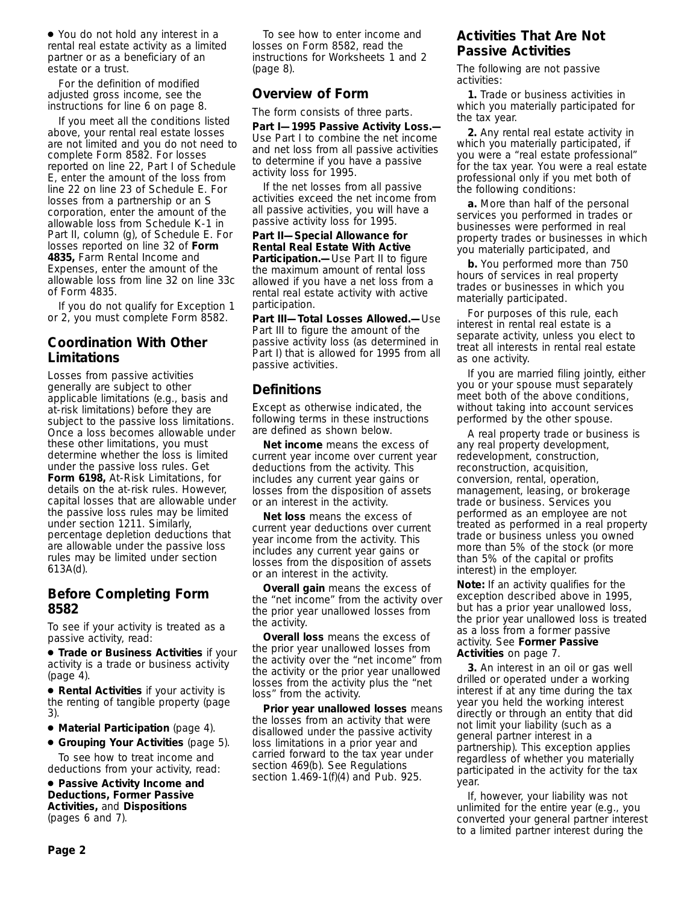● You do not hold any interest in a rental real estate activity as a limited partner or as a beneficiary of an estate or a trust.

For the definition of modified adjusted gross income, see the instructions for line 6 on page 8.

If you meet all the conditions listed above, your rental real estate losses are not limited and you do not need to complete Form 8582. For losses reported on line 22, Part I of Schedule E, enter the amount of the loss from line 22 on line 23 of Schedule E. For losses from a partnership or an S corporation, enter the amount of the allowable loss from Schedule K-1 in Part II, column (g), of Schedule E. For losses reported on line 32 of **Form 4835,** Farm Rental Income and Expenses, enter the amount of the allowable loss from line 32 on line 33c of Form 4835.

If you do not qualify for Exception 1 or 2, you must complete Form 8582.

# **Coordination With Other Limitations**

Losses from passive activities generally are subject to other applicable limitations (e.g., basis and at-risk limitations) before they are subject to the passive loss limitations. Once a loss becomes allowable under these other limitations, you must determine whether the loss is limited under the passive loss rules. Get **Form 6198,** At-Risk Limitations, for details on the at-risk rules. However, capital losses that are allowable under the passive loss rules may be limited under section 1211. Similarly, percentage depletion deductions that are allowable under the passive loss rules may be limited under section 613A(d).

## **Before Completing Form 8582**

To see if your activity is treated as a passive activity, read:

● **Trade or Business Activities** if your activity is a trade or business activity (page 4).

● **Rental Activities** if your activity is the renting of tangible property (page 3).

● **Material Participation** (page 4).

● **Grouping Your Activities** (page 5). To see how to treat income and

deductions from your activity, read: ● **Passive Activity Income and Deductions, Former Passive Activities,** and **Dispositions** (pages 6 and 7).

To see how to enter income and losses on Form 8582, read the instructions for Worksheets 1 and 2 (page 8).

# **Overview of Form**

The form consists of three parts.

**Part I—1995 Passive Activity Loss.—** Use Part I to combine the net income and net loss from all passive activities to determine if you have a passive activity loss for 1995.

If the net losses from all passive activities exceed the net income from all passive activities, you will have a passive activity loss for 1995.

**Part II—Special Allowance for Rental Real Estate With Active Participation.—**Use Part II to figure the maximum amount of rental loss allowed if you have a net loss from a rental real estate activity with active participation.

**Part III—Total Losses Allowed.—**Use Part III to figure the amount of the passive activity loss (as determined in Part I) that is allowed for 1995 from all passive activities.

# **Definitions**

Except as otherwise indicated, the following terms in these instructions are defined as shown below.

**Net income** means the excess of current year income over current year deductions from the activity. This includes any current year gains or losses from the disposition of assets or an interest in the activity.

**Net loss** means the excess of current year deductions over current year income from the activity. This includes any current year gains or losses from the disposition of assets or an interest in the activity.

**Overall gain** means the excess of the "net income" from the activity over the prior year unallowed losses from the activity.

**Overall loss** means the excess of the prior year unallowed losses from the activity over the "net income" from the activity or the prior year unallowed losses from the activity plus the "net loss" from the activity.

**Prior year unallowed losses** means the losses from an activity that were disallowed under the passive activity loss limitations in a prior year and carried forward to the tax year under section 469(b). See Regulations section 1.469-1(f)(4) and Pub. 925.

# **Activities That Are Not Passive Activities**

The following are not passive activities:

**1.** Trade or business activities in which you materially participated for the tax year.

**2.** Any rental real estate activity in which you materially participated, if you were a "real estate professional" for the tax year. You were a real estate professional only if you met both of the following conditions:

**a.** More than half of the personal services you performed in trades or businesses were performed in real property trades or businesses in which you materially participated, and

**b.** You performed more than 750 hours of services in real property trades or businesses in which you materially participated.

For purposes of this rule, each interest in rental real estate is a separate activity, unless you elect to treat all interests in rental real estate as one activity.

If you are married filing jointly, either you or your spouse must separately meet both of the above conditions, without taking into account services performed by the other spouse.

A real property trade or business is any real property development, redevelopment, construction, reconstruction, acquisition, conversion, rental, operation, management, leasing, or brokerage trade or business. Services you performed as an employee are not treated as performed in a real property trade or business unless you owned more than 5% of the stock (or more than 5% of the capital or profits interest) in the employer.

**Note:** *If an activity qualifies for the exception described above in 1995, but has a prior year unallowed loss, the prior year unallowed loss is treated as a loss from a former passive activity. See Former Passive Activities on page 7.*

**3.** An interest in an oil or gas well drilled or operated under a working interest if at any time during the tax year you held the working interest directly or through an entity that did not limit your liability (such as a general partner interest in a partnership). This exception applies regardless of whether you materially participated in the activity for the tax year.

If, however, your liability was not unlimited for the entire year (e.g., you converted your general partner interest to a limited partner interest during the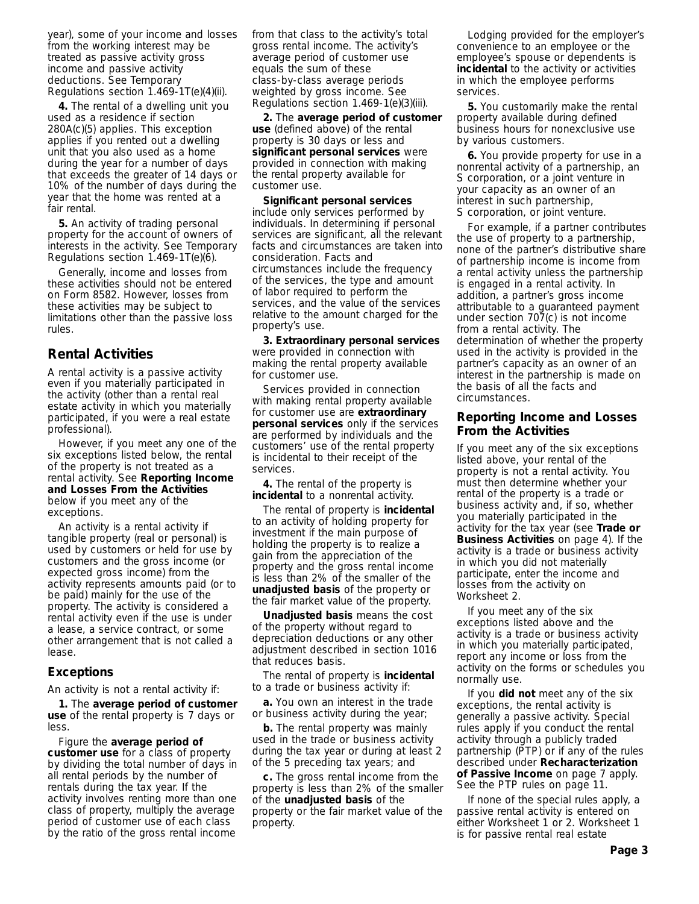year), some of your income and losses from the working interest may be treated as passive activity gross income and passive activity deductions. See Temporary Regulations section 1.469-1T(e)(4)(ii).

**4.** The rental of a dwelling unit you used as a residence if section 280A(c)(5) applies. This exception applies if you rented out a dwelling unit that you also used as a home during the year for a number of days that exceeds the greater of 14 days or 10% of the number of days during the year that the home was rented at a fair rental.

**5.** An activity of trading personal property for the account of owners of interests in the activity. See Temporary Regulations section 1.469-1T(e)(6).

Generally, income and losses from these activities should not be entered on Form 8582. However, losses from these activities may be subject to limitations other than the passive loss rules.

## **Rental Activities**

A rental activity is a passive activity even if you materially participated in the activity (other than a rental real estate activity in which you materially participated, if you were a real estate professional).

However, if you meet any one of the six exceptions listed below, the rental of the property is not treated as a rental activity. See **Reporting Income and Losses From the Activities** below if you meet any of the exceptions.

An activity is a rental activity if tangible property (real or personal) is used by customers or held for use by customers and the gross income (or expected gross income) from the activity represents amounts paid (or to be paid) mainly for the use of the property. The activity is considered a rental activity even if the use is under a lease, a service contract, or some other arrangement that is not called a lease.

## **Exceptions**

An activity is not a rental activity if:

**1.** The **average period of customer use** of the rental property is 7 days or less.

Figure the **average period of customer use** for a class of property by dividing the total number of days in all rental periods by the number of rentals during the tax year. If the activity involves renting more than one class of property, multiply the average period of customer use of each class by the ratio of the gross rental income

from that class to the activity's total gross rental income. The activity's average period of customer use equals the sum of these class-by-class average periods weighted by gross income. See Regulations section 1.469-1(e)(3)(iii).

**2.** The **average period of customer use** (defined above) of the rental property is 30 days or less and **significant personal services** were provided in connection with making the rental property available for customer use.

**Significant personal services** include only services performed by individuals. In determining if personal services are significant, all the relevant facts and circumstances are taken into consideration. Facts and circumstances include the frequency of the services, the type and amount of labor required to perform the services, and the value of the services relative to the amount charged for the property's use.

**3. Extraordinary personal services** were provided in connection with making the rental property available for customer use.

Services provided in connection with making rental property available for customer use are **extraordinary personal services** only if the services are performed by individuals and the customers' use of the rental property is incidental to their receipt of the services.

**4.** The rental of the property is **incidental** to a nonrental activity.

The rental of property is **incidental** to an activity of holding property for investment if the main purpose of holding the property is to realize a gain from the appreciation of the property and the gross rental income is less than 2% of the smaller of the **unadjusted basis** of the property or the fair market value of the property.

**Unadjusted basis** means the cost of the property without regard to depreciation deductions or any other adjustment described in section 1016 that reduces basis.

The rental of property is **incidental** to a trade or business activity if:

**a.** You own an interest in the trade or business activity during the year;

**b.** The rental property was mainly used in the trade or business activity during the tax year or during at least 2 of the 5 preceding tax years; and

**c.** The gross rental income from the property is less than 2% of the smaller of the **unadjusted basis** of the property or the fair market value of the property.

Lodging provided for the employer's convenience to an employee or the employee's spouse or dependents is **incidental** to the activity or activities in which the employee performs services.

**5.** You customarily make the rental property available during defined business hours for nonexclusive use by various customers.

**6.** You provide property for use in a nonrental activity of a partnership, an S corporation, or a joint venture in your capacity as an owner of an interest in such partnership, S corporation, or joint venture.

For example, if a partner contributes the use of property to a partnership, none of the partner's distributive share of partnership income is income from a rental activity unless the partnership is engaged in a rental activity. In addition, a partner's gross income attributable to a guaranteed payment under section 707(c) is not income from a rental activity. The determination of whether the property used in the activity is provided in the partner's capacity as an owner of an interest in the partnership is made on the basis of all the facts and circumstances.

#### **Reporting Income and Losses From the Activities**

If you meet any of the six exceptions listed above, your rental of the property is not a rental activity. You must then determine whether your rental of the property is a trade or business activity and, if so, whether you materially participated in the activity for the tax year (see **Trade or Business Activities** on page 4). If the activity is a trade or business activity in which you did not materially participate, enter the income and losses from the activity on Worksheet 2.

If you meet any of the six exceptions listed above and the activity is a trade or business activity in which you materially participated, report any income or loss from the activity on the forms or schedules you normally use.

If you **did not** meet any of the six exceptions, the rental activity is generally a passive activity. Special rules apply if you conduct the rental activity through a publicly traded partnership (PTP) or if any of the rules described under **Recharacterization of Passive Income** on page 7 apply. See the PTP rules on page 11.

If none of the special rules apply, a passive rental activity is entered on either Worksheet 1 or 2. Worksheet 1 is for passive rental real estate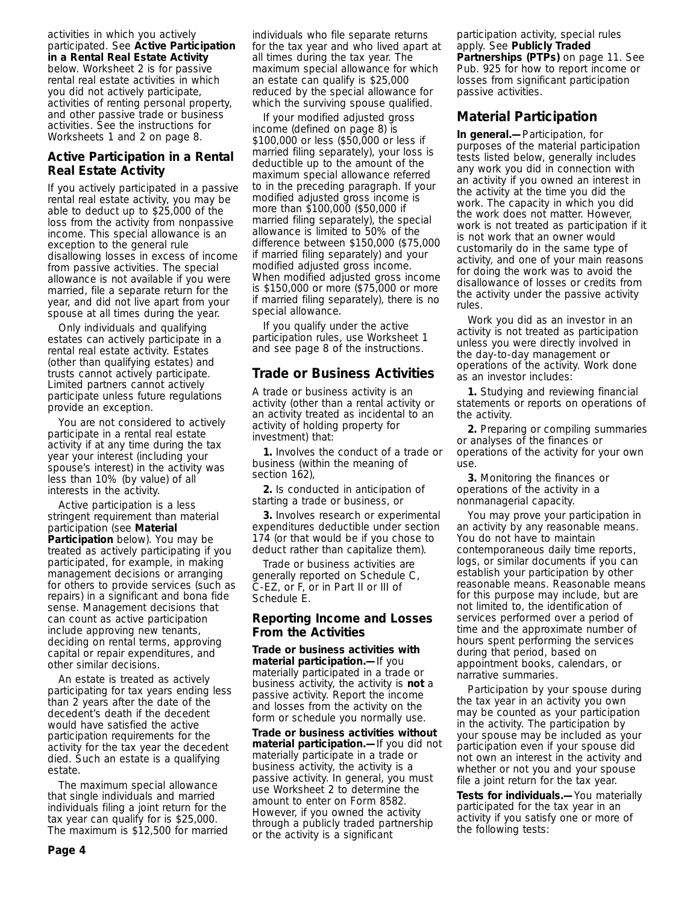#### activities in which you actively participated. See **Active Participation in a Rental Real Estate Activity**

below. Worksheet 2 is for passive rental real estate activities in which you did not actively participate, activities of renting personal property, and other passive trade or business activities. See the instructions for Worksheets 1 and 2 on page 8.

## **Active Participation in a Rental Real Estate Activity**

If you actively participated in a passive rental real estate activity, you may be able to deduct up to \$25,000 of the loss from the activity from nonpassive income. This special allowance is an exception to the general rule disallowing losses in excess of income from passive activities. The special allowance is not available if you were married, file a separate return for the year, and did not live apart from your spouse at all times during the year.

Only individuals and qualifying estates can actively participate in a rental real estate activity. Estates (other than qualifying estates) and trusts cannot actively participate. Limited partners cannot actively participate unless future regulations provide an exception.

You are not considered to actively participate in a rental real estate activity if at any time during the tax year your interest (including your spouse's interest) in the activity was less than 10% (by value) of all interests in the activity.

Active participation is a less stringent requirement than material participation (see **Material Participation** below). You may be treated as actively participating if you participated, for example, in making management decisions or arranging for others to provide services (such as repairs) in a significant and bona fide sense. Management decisions that can count as active participation include approving new tenants, deciding on rental terms, approving capital or repair expenditures, and other similar decisions.

An estate is treated as actively participating for tax years ending less than 2 years after the date of the decedent's death if the decedent would have satisfied the active participation requirements for the activity for the tax year the decedent died. Such an estate is a qualifying estate.

The maximum special allowance that single individuals and married individuals filing a joint return for the tax year can qualify for is \$25,000. The maximum is \$12,500 for married individuals who file separate returns for the tax year and who lived apart at all times during the tax year. The maximum special allowance for which an estate can qualify is \$25,000 reduced by the special allowance for which the surviving spouse qualified.

If your modified adjusted gross income (defined on page 8) is \$100,000 or less (\$50,000 or less if married filing separately), your loss is deductible up to the amount of the maximum special allowance referred to in the preceding paragraph. If your modified adjusted gross income is more than \$100,000 (\$50,000 if married filing separately), the special allowance is limited to 50% of the difference between \$150,000 (\$75,000 if married filing separately) and your modified adjusted gross income. When modified adjusted gross income is \$150,000 or more (\$75,000 or more if married filing separately), there is no special allowance.

If you qualify under the active participation rules, use Worksheet 1 and see page 8 of the instructions.

## **Trade or Business Activities**

A trade or business activity is an activity (other than a rental activity or an activity treated as incidental to an activity of holding property for investment) that:

**1.** Involves the conduct of a trade or business (within the meaning of section 162),

**2.** Is conducted in anticipation of starting a trade or business, or

**3.** Involves research or experimental expenditures deductible under section 174 (or that would be if you chose to deduct rather than capitalize them).

Trade or business activities are generally reported on Schedule C, C-EZ, or F, or in Part II or III of Schedule E.

#### **Reporting Income and Losses From the Activities**

**Trade or business activities with material participation.—**If you materially participated in a trade or business activity, the activity is **not** a passive activity. Report the income and losses from the activity on the form or schedule you normally use.

**Trade or business activities without material participation.—**If you did not materially participate in a trade or business activity, the activity is a passive activity. In general, you must use Worksheet 2 to determine the amount to enter on Form 8582. However, if you owned the activity through a publicly traded partnership or the activity is a significant

participation activity, special rules apply. See **Publicly Traded Partnerships (PTPs)** on page 11. See Pub. 925 for how to report income or losses from significant participation passive activities.

# **Material Participation**

**In general.—**Participation, for purposes of the material participation tests listed below, generally includes any work you did in connection with an activity if you owned an interest in the activity at the time you did the work. The capacity in which you did the work does not matter. However, work is not treated as participation if it is not work that an owner would customarily do in the same type of activity, and one of your main reasons for doing the work was to avoid the disallowance of losses or credits from the activity under the passive activity rules.

Work you did as an investor in an activity is not treated as participation unless you were directly involved in the day-to-day management or operations of the activity. Work done as an investor includes:

**1.** Studying and reviewing financial statements or reports on operations of the activity.

**2.** Preparing or compiling summaries or analyses of the finances or operations of the activity for your own use.

**3.** Monitoring the finances or operations of the activity in a nonmanagerial capacity.

You may prove your participation in an activity by any reasonable means. You do not have to maintain contemporaneous daily time reports, logs, or similar documents if you can establish your participation by other reasonable means. Reasonable means for this purpose may include, but are not limited to, the identification of services performed over a period of time and the approximate number of hours spent performing the services during that period, based on appointment books, calendars, or narrative summaries.

Participation by your spouse during the tax year in an activity you own may be counted as your participation in the activity. The participation by your spouse may be included as your participation even if your spouse did not own an interest in the activity and whether or not you and your spouse file a joint return for the tax year.

**Tests for individuals.—**You materially participated for the tax year in an activity if you satisfy one or more of the following tests: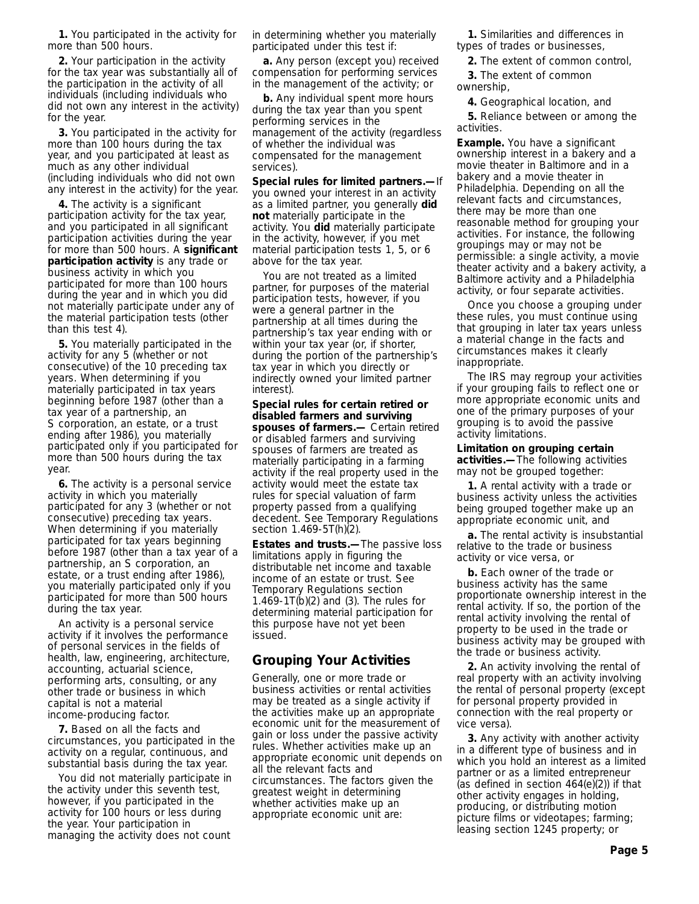**1.** You participated in the activity for more than 500 hours.

**2.** Your participation in the activity for the tax year was substantially all of the participation in the activity of all individuals (including individuals who did not own any interest in the activity) for the year.

**3.** You participated in the activity for more than 100 hours during the tax year, and you participated at least as much as any other individual (including individuals who did not own any interest in the activity) for the year.

**4.** The activity is a significant participation activity for the tax year, and you participated in all significant participation activities during the year for more than 500 hours. A **significant participation activity** is any trade or business activity in which you participated for more than 100 hours during the year and in which you did not materially participate under any of the material participation tests (other than this test 4).

**5.** You materially participated in the activity for any 5 (whether or not consecutive) of the 10 preceding tax years. When determining if you materially participated in tax years beginning before 1987 (other than a tax year of a partnership, an S corporation, an estate, or a trust ending after 1986), you materially participated only if you participated for more than 500 hours during the tax year.

**6.** The activity is a personal service activity in which you materially participated for any 3 (whether or not consecutive) preceding tax years. When determining if you materially participated for tax years beginning before 1987 (other than a tax year of a partnership, an S corporation, an estate, or a trust ending after 1986), you materially participated only if you participated for more than 500 hours during the tax year.

An activity is a personal service activity if it involves the performance of personal services in the fields of health, law, engineering, architecture, accounting, actuarial science, performing arts, consulting, or any other trade or business in which capital is not a material income-producing factor.

**7.** Based on all the facts and circumstances, you participated in the activity on a regular, continuous, and substantial basis during the tax year.

You did not materially participate in the activity under this seventh test, however, if you participated in the activity for 100 hours or less during the year. Your participation in managing the activity does not count

in determining whether you materially participated under this test if:

**a.** Any person (except you) received compensation for performing services in the management of the activity; or

**b.** Any individual spent more hours during the tax year than you spent performing services in the management of the activity (regardless of whether the individual was compensated for the management services).

**Special rules for limited partners.—**If you owned your interest in an activity as a limited partner, you generally **did not** materially participate in the activity. You **did** materially participate in the activity, however, if you met material participation tests 1, 5, or 6 above for the tax year.

You are not treated as a limited partner, for purposes of the material participation tests, however, if you were a general partner in the partnership at all times during the partnership's tax year ending with or within your tax year (or, if shorter, during the portion of the partnership's tax year in which you directly or indirectly owned your limited partner interest).

**Special rules for certain retired or disabled farmers and surviving spouses of farmers.—** Certain retired or disabled farmers and surviving spouses of farmers are treated as materially participating in a farming activity if the real property used in the activity would meet the estate tax rules for special valuation of farm property passed from a qualifying decedent. See Temporary Regulations section 1.469-5T(h)(2).

**Estates and trusts.—**The passive loss limitations apply in figuring the distributable net income and taxable income of an estate or trust. See Temporary Regulations section 1.469-1T(b)(2) and (3). The rules for determining material participation for this purpose have not yet been issued.

#### **Grouping Your Activities**

Generally, one or more trade or business activities or rental activities may be treated as a single activity if the activities make up an appropriate economic unit for the measurement of gain or loss under the passive activity rules. Whether activities make up an appropriate economic unit depends on all the relevant facts and circumstances. The factors given the greatest weight in determining whether activities make up an appropriate economic unit are:

**1.** Similarities and differences in types of trades or businesses,

**2.** The extent of common control,

**3.** The extent of common ownership,

**4.** Geographical location, and

**5.** Reliance between or among the activities.

**Example.** You have a significant ownership interest in a bakery and a movie theater in Baltimore and in a bakery and a movie theater in Philadelphia. Depending on all the relevant facts and circumstances, there may be more than one reasonable method for grouping your activities. For instance, the following groupings may or may not be permissible: a single activity, a movie theater activity and a bakery activity, a Baltimore activity and a Philadelphia activity, or four separate activities.

Once you choose a grouping under these rules, you must continue using that grouping in later tax years unless a material change in the facts and circumstances makes it clearly inappropriate.

The IRS may regroup your activities if your grouping fails to reflect one or more appropriate economic units and one of the primary purposes of your grouping is to avoid the passive activity limitations.

**Limitation on grouping certain activities.—**The following activities may not be grouped together:

**1.** A rental activity with a trade or business activity unless the activities being grouped together make up an appropriate economic unit, and

**a.** The rental activity is insubstantial relative to the trade or business activity or vice versa, or

**b.** Each owner of the trade or business activity has the same proportionate ownership interest in the rental activity. If so, the portion of the rental activity involving the rental of property to be used in the trade or business activity may be grouped with the trade or business activity.

**2.** An activity involving the rental of real property with an activity involving the rental of personal property (except for personal property provided in connection with the real property or vice versa).

**3.** Any activity with another activity in a different type of business and in which you hold an interest as a limited partner or as a limited entrepreneur (as defined in section 464(e)(2)) if that other activity engages in holding, producing, or distributing motion picture films or videotapes; farming; leasing section 1245 property; or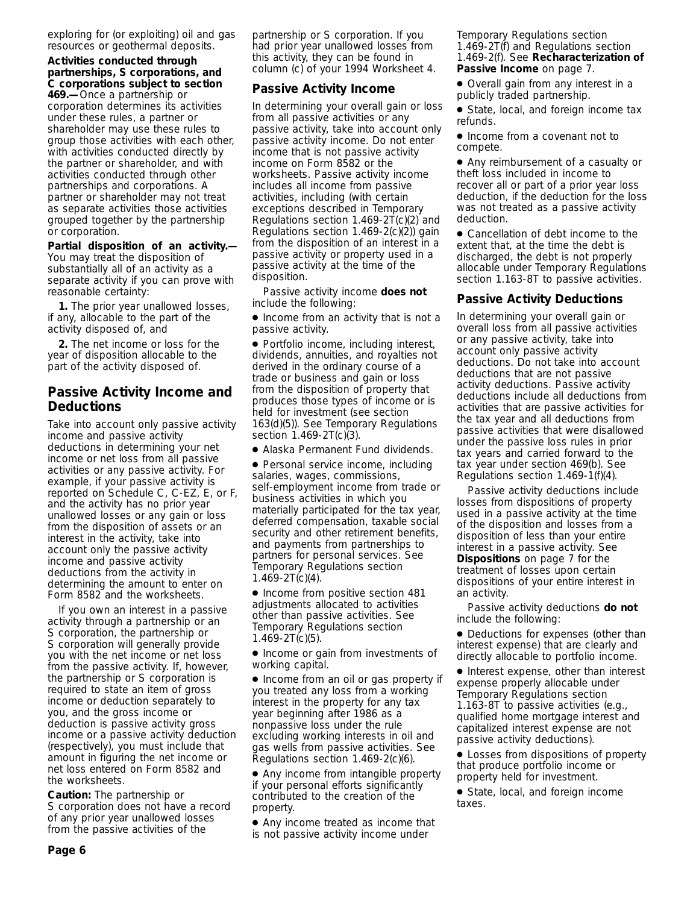exploring for (or exploiting) oil and gas resources or geothermal deposits.

**Activities conducted through partnerships, S corporations, and C corporations subject to section**

**469.—**Once a partnership or corporation determines its activities under these rules, a partner or shareholder may use these rules to group those activities with each other, with activities conducted directly by the partner or shareholder, and with activities conducted through other partnerships and corporations. A partner or shareholder may not treat as separate activities those activities grouped together by the partnership or corporation.

**Partial disposition of an activity.—** You may treat the disposition of substantially all of an activity as a separate activity if you can prove with reasonable certainty:

**1.** The prior year unallowed losses, if any, allocable to the part of the activity disposed of, and

**2.** The net income or loss for the year of disposition allocable to the part of the activity disposed of.

# **Passive Activity Income and Deductions**

Take into account only passive activity income and passive activity deductions in determining your net income or net loss from all passive activities or any passive activity. For example, if your passive activity is reported on Schedule C, C-EZ, E, or F, and the activity has no prior year unallowed losses or any gain or loss from the disposition of assets or an interest in the activity, take into account only the passive activity income and passive activity deductions from the activity in determining the amount to enter on Form 8582 and the worksheets.

If you own an interest in a passive activity through a partnership or an S corporation, the partnership or S corporation will generally provide you with the net income or net loss from the passive activity. If, however, the partnership or S corporation is required to state an item of gross income or deduction separately to you, and the gross income or deduction is passive activity gross income or a passive activity deduction (respectively), you must include that amount in figuring the net income or net loss entered on Form 8582 and the worksheets.

**Caution:** *The partnership or S corporation does not have a record of any prior year unallowed losses from the passive activities of the*

*partnership or S corporation. If you had prior year unallowed losses from this activity, they can be found in column (c) of your 1994 Worksheet 4.*

## **Passive Activity Income**

In determining your overall gain or loss from all passive activities or any passive activity, take into account only passive activity income. Do not enter income that is not passive activity income on Form 8582 or the worksheets. Passive activity income includes all income from passive activities, including (with certain exceptions described in Temporary Regulations section 1.469-2T(c)(2) and Regulations section 1.469-2(c)(2)) gain from the disposition of an interest in a passive activity or property used in a passive activity at the time of the disposition.

Passive activity income **does not** include the following:

● Income from an activity that is not a passive activity.

● Portfolio income, including interest, dividends, annuities, and royalties not derived in the ordinary course of a trade or business and gain or loss from the disposition of property that produces those types of income or is held for investment (see section 163(d)(5)). See Temporary Regulations section 1.469-2T(c)(3).

● Alaska Permanent Fund dividends.

● Personal service income, including salaries, wages, commissions, self-employment income from trade or business activities in which you materially participated for the tax year, deferred compensation, taxable social security and other retirement benefits, and payments from partnerships to partners for personal services. See Temporary Regulations section 1.469-2T(c)(4).

• Income from positive section 481 adjustments allocated to activities other than passive activities. See Temporary Regulations section 1.469-2T(c)(5).

● Income or gain from investments of working capital.

● Income from an oil or gas property if you treated any loss from a working interest in the property for any tax year beginning after 1986 as a nonpassive loss under the rule excluding working interests in oil and gas wells from passive activities. See Regulations section 1.469-2(c)(6).

● Any income from intangible property if your personal efforts significantly contributed to the creation of the property.

● Any income treated as income that is not passive activity income under

Temporary Regulations section 1.469-2T(f) and Regulations section 1.469-2(f). See **Recharacterization of Passive Income** on page 7.

● Overall gain from any interest in a publicly traded partnership.

● State, local, and foreign income tax refunds.

● Income from a covenant not to compete.

● Any reimbursement of a casualty or theft loss included in income to recover all or part of a prior year loss deduction, if the deduction for the loss was not treated as a passive activity deduction.

● Cancellation of debt income to the extent that, at the time the debt is discharged, the debt is not properly allocable under Temporary Regulations section 1.163-8T to passive activities.

#### **Passive Activity Deductions**

In determining your overall gain or overall loss from all passive activities or any passive activity, take into account only passive activity deductions. Do not take into account deductions that are not passive activity deductions. Passive activity deductions include all deductions from activities that are passive activities for the tax year and all deductions from passive activities that were disallowed under the passive loss rules in prior tax years and carried forward to the tax year under section 469(b). See Regulations section 1.469-1(f)(4).

Passive activity deductions include losses from dispositions of property used in a passive activity at the time of the disposition and losses from a disposition of less than your entire interest in a passive activity. See **Dispositions** on page 7 for the treatment of losses upon certain dispositions of your entire interest in an activity.

Passive activity deductions **do not** include the following:

● Deductions for expenses (other than interest expense) that are clearly and directly allocable to portfolio income.

● Interest expense, other than interest expense properly allocable under Temporary Regulations section 1.163-8T to passive activities (e.g., qualified home mortgage interest and capitalized interest expense are not passive activity deductions).

● Losses from dispositions of property that produce portfolio income or property held for investment.

● State, local, and foreign income taxes.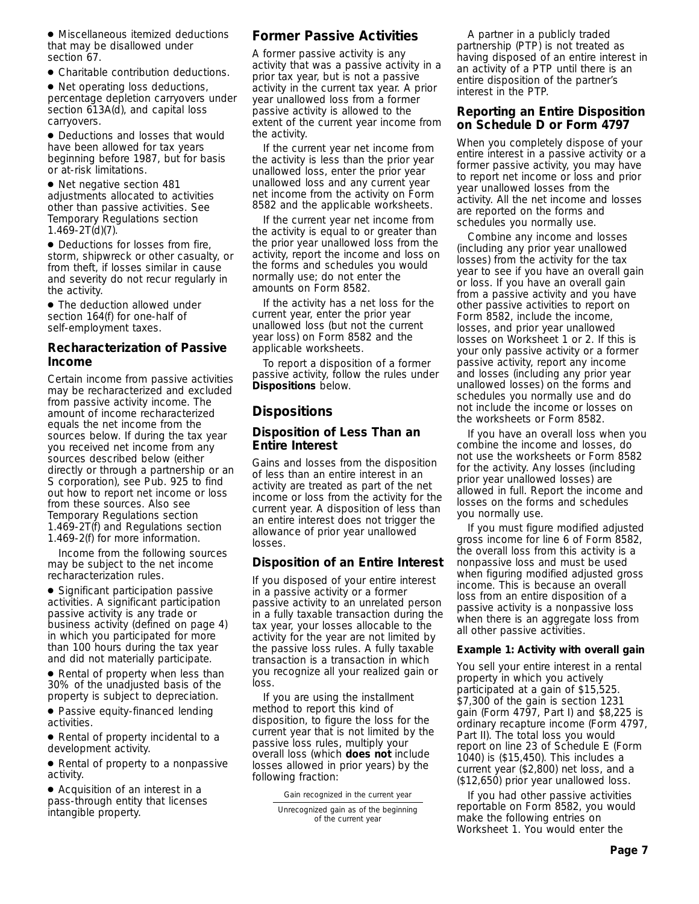● Miscellaneous itemized deductions that may be disallowed under section 67.

● Charitable contribution deductions.

• Net operating loss deductions, percentage depletion carryovers under section 613A(d), and capital loss carryovers.

● Deductions and losses that would have been allowed for tax years beginning before 1987, but for basis or at-risk limitations.

● Net negative section 481 adjustments allocated to activities other than passive activities. See Temporary Regulations section 1.469-2T(d)(7).

● Deductions for losses from fire, storm, shipwreck or other casualty, or from theft, if losses similar in cause and severity do not recur regularly in the activity.

● The deduction allowed under section 164(f) for one-half of self-employment taxes.

#### **Recharacterization of Passive Income**

Certain income from passive activities may be recharacterized and excluded from passive activity income. The amount of income recharacterized equals the net income from the sources below. If during the tax year you received net income from any sources described below (either directly or through a partnership or an S corporation), see Pub. 925 to find out how to report net income or loss from these sources. Also see Temporary Regulations section 1.469-2T(f) and Regulations section 1.469-2(f) for more information.

Income from the following sources may be subject to the net income recharacterization rules.

● Significant participation passive activities. A significant participation passive activity is any trade or business activity (defined on page 4) in which you participated for more than 100 hours during the tax year and did not materially participate.

• Rental of property when less than 30% of the unadjusted basis of the property is subject to depreciation.

● Passive equity-financed lending activities.

● Rental of property incidental to a development activity.

● Rental of property to a nonpassive activity.

● Acquisition of an interest in a pass-through entity that licenses intangible property.

# **Former Passive Activities**

A former passive activity is any activity that was a passive activity in a prior tax year, but is not a passive activity in the current tax year. A prior year unallowed loss from a former passive activity is allowed to the extent of the current year income from the activity.

If the current year net income from the activity is less than the prior year unallowed loss, enter the prior year unallowed loss and any current year net income from the activity on Form 8582 and the applicable worksheets.

If the current year net income from the activity is equal to or greater than the prior year unallowed loss from the activity, report the income and loss on the forms and schedules you would normally use; do not enter the amounts on Form 8582.

If the activity has a net loss for the current year, enter the prior year unallowed loss (but not the current year loss) on Form 8582 and the applicable worksheets.

To report a disposition of a former passive activity, follow the rules under **Dispositions** below.

# **Dispositions**

#### **Disposition of Less Than an Entire Interest**

Gains and losses from the disposition of less than an entire interest in an activity are treated as part of the net income or loss from the activity for the current year. A disposition of less than an entire interest does not trigger the allowance of prior year unallowed losses.

## **Disposition of an Entire Interest**

If you disposed of your entire interest in a passive activity or a former passive activity to an unrelated person in a fully taxable transaction during the tax year, your losses allocable to the activity for the year are not limited by the passive loss rules. A fully taxable transaction is a transaction in which you recognize all your realized gain or loss.

If you are using the installment method to report this kind of disposition, to figure the loss for the current year that is not limited by the passive loss rules, multiply your overall loss (which **does not** include losses allowed in prior years) by the following fraction:

Gain recognized in the current year

Unrecognized gain as of the beginning of the current year

A partner in a publicly traded partnership (PTP) is not treated as having disposed of an entire interest in an activity of a PTP until there is an entire disposition of the partner's interest in the PTP.

#### **Reporting an Entire Disposition on Schedule D or Form 4797**

When you completely dispose of your entire interest in a passive activity or a former passive activity, you may have to report net income or loss and prior year unallowed losses from the activity. All the net income and losses are reported on the forms and schedules you normally use.

Combine any income and losses (including any prior year unallowed losses) from the activity for the tax year to see if you have an overall gain or loss. If you have an overall gain from a passive activity and you have other passive activities to report on Form 8582, include the income, losses, and prior year unallowed losses on Worksheet 1 or 2. If this is your only passive activity or a former passive activity, report any income and losses (including any prior year unallowed losses) on the forms and schedules you normally use and do not include the income or losses on the worksheets or Form 8582.

If you have an overall loss when you combine the income and losses, do not use the worksheets or Form 8582 for the activity. Any losses (including prior year unallowed losses) are allowed in full. Report the income and losses on the forms and schedules you normally use.

If you must figure modified adjusted gross income for line 6 of Form 8582, the overall loss from this activity is a nonpassive loss and must be used when figuring modified adjusted gross income. This is because an overall loss from an entire disposition of a passive activity is a nonpassive loss when there is an aggregate loss from all other passive activities.

#### **Example 1: Activity with overall gain**

You sell your entire interest in a rental property in which you actively participated at a gain of \$15,525. \$7,300 of the gain is section 1231 gain (Form 4797, Part I) and \$8,225 is ordinary recapture income (Form 4797, Part II). The total loss you would report on line 23 of Schedule E (Form 1040) is (\$15,450). This includes a current year (\$2,800) net loss, and a (\$12,650) prior year unallowed loss.

If you had other passive activities reportable on Form 8582, you would make the following entries on Worksheet 1. You would enter the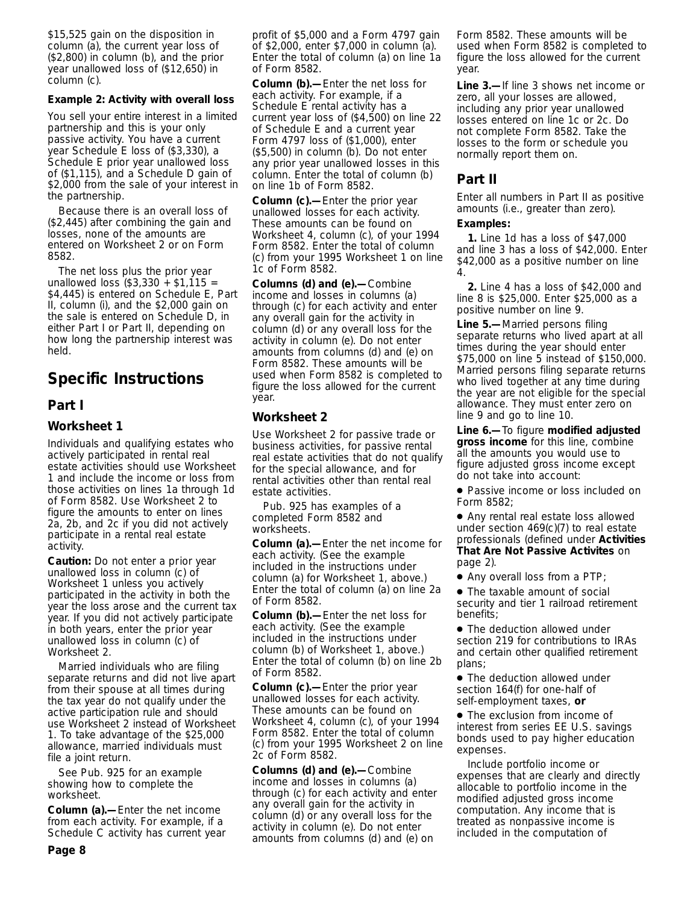\$15,525 gain on the disposition in column (a), the current year loss of (\$2,800) in column (b), and the prior year unallowed loss of (\$12,650) in column (c).

### **Example 2: Activity with overall loss**

You sell your entire interest in a limited partnership and this is your only passive activity. You have a current year Schedule E loss of (\$3,330), a Schedule E prior year unallowed loss of (\$1,115), and a Schedule D gain of \$2,000 from the sale of your interest in the partnership.

Because there is an overall loss of (\$2,445) after combining the gain and losses, none of the amounts are entered on Worksheet 2 or on Form 8582.

The net loss plus the prior year unallowed loss  $(\$3,330 + \$1,115 =$ \$4,445) is entered on Schedule E, Part II, column (i), and the \$2,000 gain on the sale is entered on Schedule D, in either Part I or Part II, depending on how long the partnership interest was held.

# **Specific Instructions**

# **Part I**

## **Worksheet 1**

Individuals and qualifying estates who actively participated in rental real estate activities should use Worksheet 1 and include the income or loss from those activities on lines 1a through 1d of Form 8582. Use Worksheet 2 to figure the amounts to enter on lines 2a, 2b, and 2c if you did not actively participate in a rental real estate activity.

**Caution:** *Do not enter a prior year unallowed loss in column (c) of Worksheet 1 unless you actively participated in the activity in both the year the loss arose and the current tax year. If you did not actively participate in both years, enter the prior year unallowed loss in column (c) of Worksheet 2.*

*Married individuals who are filing separate returns and did not live apart from their spouse at all times during the tax year do not qualify under the active participation rule and should use Worksheet 2 instead of Worksheet 1. To take advantage of the \$25,000 allowance, married individuals must file a joint return.*

See Pub. 925 for an example showing how to complete the worksheet.

**Column (a).—**Enter the net income from each activity. For example, if a Schedule C activity has current year profit of \$5,000 and a Form 4797 gain of \$2,000, enter \$7,000 in column (a). Enter the total of column (a) on line 1a of Form 8582.

**Column (b).—**Enter the net loss for each activity. For example, if a Schedule E rental activity has a current year loss of (\$4,500) on line 22 of Schedule E and a current year Form 4797 loss of (\$1,000), enter (\$5,500) in column (b). Do not enter any prior year unallowed losses in this column. Enter the total of column (b) on line 1b of Form 8582.

**Column (c).—**Enter the prior year unallowed losses for each activity. These amounts can be found on Worksheet 4, column (c), of your 1994 Form 8582. Enter the total of column (c) from your 1995 Worksheet 1 on line 1c of Form 8582.

**Columns (d) and (e).—**Combine income and losses in columns (a) through (c) for each activity and enter any overall gain for the activity in column (d) or any overall loss for the activity in column (e). Do not enter amounts from columns (d) and (e) on Form 8582. These amounts will be used when Form 8582 is completed to figure the loss allowed for the current year.

# **Worksheet 2**

Use Worksheet 2 for passive trade or business activities, for passive rental real estate activities that do not qualify for the special allowance, and for rental activities other than rental real estate activities.

Pub. 925 has examples of a completed Form 8582 and worksheets.

**Column (a).—**Enter the net income for each activity. (See the example included in the instructions under column (a) for Worksheet 1, above.) Enter the total of column (a) on line 2a of Form 8582.

**Column (b).—**Enter the net loss for each activity. (See the example included in the instructions under column (b) of Worksheet 1, above.) Enter the total of column (b) on line 2b of Form 8582.

**Column (c).—**Enter the prior year unallowed losses for each activity. These amounts can be found on Worksheet 4, column (c), of your 1994 Form 8582. Enter the total of column (c) from your 1995 Worksheet 2 on line 2c of Form 8582.

**Columns (d) and (e).—**Combine income and losses in columns (a) through (c) for each activity and enter any overall gain for the activity in column (d) or any overall loss for the activity in column (e). Do not enter amounts from columns (d) and (e) on

Form 8582. These amounts will be used when Form 8582 is completed to figure the loss allowed for the current year.

**Line 3.—**If line 3 shows net income or zero, all your losses are allowed, including any prior year unallowed losses entered on line 1c or 2c. Do not complete Form 8582. Take the losses to the form or schedule you normally report them on.

# **Part II**

Enter all numbers in Part II as positive amounts (i.e., greater than zero).

#### **Examples:**

**1.** Line 1d has a loss of \$47,000 and line 3 has a loss of \$42,000. Enter \$42,000 as a positive number on line 4.

**2.** Line 4 has a loss of \$42,000 and line 8 is \$25,000. Enter \$25,000 as a positive number on line 9.

**Line 5.—**Married persons filing separate returns who lived apart at all times during the year should enter \$75,000 on line 5 instead of \$150,000. Married persons filing separate returns who lived together at any time during the year are not eligible for the special allowance. They must enter zero on line 9 and go to line 10.

**Line 6.—**To figure **modified adjusted gross income** for this line, combine all the amounts you would use to figure adjusted gross income except do not take into account:

● Passive income or loss included on Form 8582;

● Any rental real estate loss allowed under section 469(c)(7) to real estate professionals (defined under **Activities That Are Not Passive Activites** on page 2).

● Any overall loss from a PTP;

• The taxable amount of social security and tier 1 railroad retirement benefits;

● The deduction allowed under section 219 for contributions to IRAs and certain other qualified retirement plans;

• The deduction allowed under section 164(f) for one-half of self-employment taxes, **or**

● The exclusion from income of interest from series EE U.S. savings bonds used to pay higher education expenses.

Include portfolio income or expenses that are clearly and directly allocable to portfolio income in the modified adjusted gross income computation. Any income that is treated as nonpassive income is included in the computation of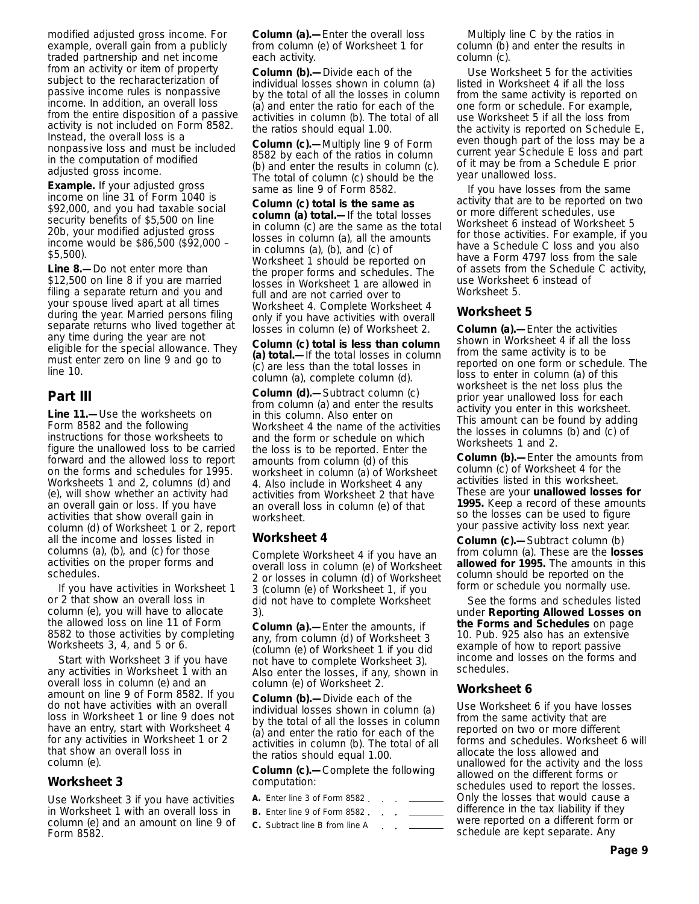modified adjusted gross income. For example, overall gain from a publicly traded partnership and net income from an activity or item of property subject to the recharacterization of passive income rules is nonpassive income. In addition, an overall loss from the entire disposition of a passive activity is not included on Form 8582. Instead, the overall loss is a nonpassive loss and must be included in the computation of modified adjusted gross income.

**Example.** If your adjusted gross income on line 31 of Form 1040 is \$92,000, and you had taxable social security benefits of \$5,500 on line 20b, your modified adjusted gross income would be \$86,500 (\$92,000 – \$5,500).

**Line 8.—**Do not enter more than \$12,500 on line 8 if you are married filing a separate return and you and your spouse lived apart at all times during the year. Married persons filing separate returns who lived together at any time during the year are not eligible for the special allowance. They must enter zero on line 9 and go to line 10.

## **Part III**

**Line 11.—**Use the worksheets on Form 8582 and the following instructions for those worksheets to figure the unallowed loss to be carried forward and the allowed loss to report on the forms and schedules for 1995. Worksheets 1 and 2, columns (d) and (e), will show whether an activity had an overall gain or loss. If you have activities that show overall gain in column (d) of Worksheet 1 or 2, report all the income and losses listed in columns (a), (b), and (c) for those activities on the proper forms and schedules.

If you have activities in Worksheet 1 or 2 that show an overall loss in column (e), you will have to allocate the allowed loss on line 11 of Form 8582 to those activities by completing Worksheets 3, 4, and 5 or 6.

Start with Worksheet 3 if you have any activities in Worksheet 1 with an overall loss in column (e) and an amount on line 9 of Form 8582. If you do not have activities with an overall loss in Worksheet 1 or line 9 does not have an entry, start with Worksheet 4 for any activities in Worksheet 1 or 2 that show an overall loss in column (e).

#### **Worksheet 3**

Use Worksheet 3 if you have activities in Worksheet 1 with an overall loss in column (e) and an amount on line 9 of Form 8582.

**Column (a).—**Enter the overall loss from column (e) of Worksheet 1 for each activity.

**Column (b).—**Divide each of the individual losses shown in column (a) by the total of all the losses in column (a) and enter the ratio for each of the activities in column (b). The total of all the ratios should equal 1.00.

**Column (c).—**Multiply line 9 of Form 8582 by each of the ratios in column (b) and enter the results in column (c). The total of column (c) should be the same as line 9 of Form 8582.

**Column (c) total is the same as column (a) total.—**If the total losses in column (c) are the same as the total losses in column (a), all the amounts in columns (a), (b), and (c) of Worksheet 1 should be reported on the proper forms and schedules. The losses in Worksheet 1 are allowed in full and are not carried over to Worksheet 4. Complete Worksheet 4 only if you have activities with overall losses in column (e) of Worksheet 2.

**Column (c) total is less than column (a) total.—**If the total losses in column (c) are less than the total losses in column (a), complete column (d).

**Column (d).—**Subtract column (c) from column (a) and enter the results in this column. Also enter on Worksheet 4 the name of the activities and the form or schedule on which the loss is to be reported. Enter the amounts from column (d) of this worksheet in column (a) of Worksheet 4. Also include in Worksheet 4 any activities from Worksheet 2 that have an overall loss in column (e) of that worksheet.

#### **Worksheet 4**

Complete Worksheet 4 if you have an overall loss in column (e) of Worksheet 2 or losses in column (d) of Worksheet 3 (column (e) of Worksheet 1, if you did not have to complete Worksheet 3).

**Column (a).—**Enter the amounts, if any, from column (d) of Worksheet 3 (column (e) of Worksheet 1 if you did not have to complete Worksheet 3). Also enter the losses, if any, shown in column (e) of Worksheet 2.

**Column (b).—**Divide each of the individual losses shown in column (a) by the total of all the losses in column (a) and enter the ratio for each of the activities in column (b). The total of all the ratios should equal 1.00.

**Column (c).—**Complete the following computation:

- **A.** Enter line 3 of Form 8582
- **B.** Enter line 9 of Form 8582  $\sim$
- **C.** Subtract line B from line A  $\mathbf{L} = \mathbf{L}$

Multiply line C by the ratios in column (b) and enter the results in column (c).

Use Worksheet 5 for the activities listed in Worksheet 4 if all the loss from the same activity is reported on one form or schedule. For example, use Worksheet 5 if all the loss from the activity is reported on Schedule E, even though part of the loss may be a current year Schedule E loss and part of it may be from a Schedule E prior year unallowed loss.

If you have losses from the same activity that are to be reported on two or more different schedules, use Worksheet 6 instead of Worksheet 5 for those activities. For example, if you have a Schedule C loss and you also have a Form 4797 loss from the sale of assets from the Schedule C activity, use Worksheet 6 instead of Worksheet 5.

#### **Worksheet 5**

**Column (a).—**Enter the activities shown in Worksheet 4 if all the loss from the same activity is to be reported on one form or schedule. The loss to enter in column (a) of this worksheet is the net loss plus the prior year unallowed loss for each activity you enter in this worksheet. This amount can be found by adding the losses in columns (b) and (c) of Worksheets 1 and 2.

**Column (b).—**Enter the amounts from column (c) of Worksheet 4 for the activities listed in this worksheet. These are your **unallowed losses for 1995.** Keep a record of these amounts so the losses can be used to figure your passive activity loss next year.

**Column (c).—**Subtract column (b) from column (a). These are the **losses allowed for 1995.** The amounts in this column should be reported on the form or schedule you normally use.

See the forms and schedules listed under **Reporting Allowed Losses on the Forms and Schedules** on page 10. Pub. 925 also has an extensive example of how to report passive income and losses on the forms and schedules.

#### **Worksheet 6**

Use Worksheet 6 if you have losses from the same activity that are reported on two or more different forms and schedules. Worksheet 6 will allocate the loss allowed and unallowed for the activity and the loss allowed on the different forms or schedules used to report the losses. Only the losses that would cause a difference in the tax liability if they were reported on a different form or schedule are kept separate. Any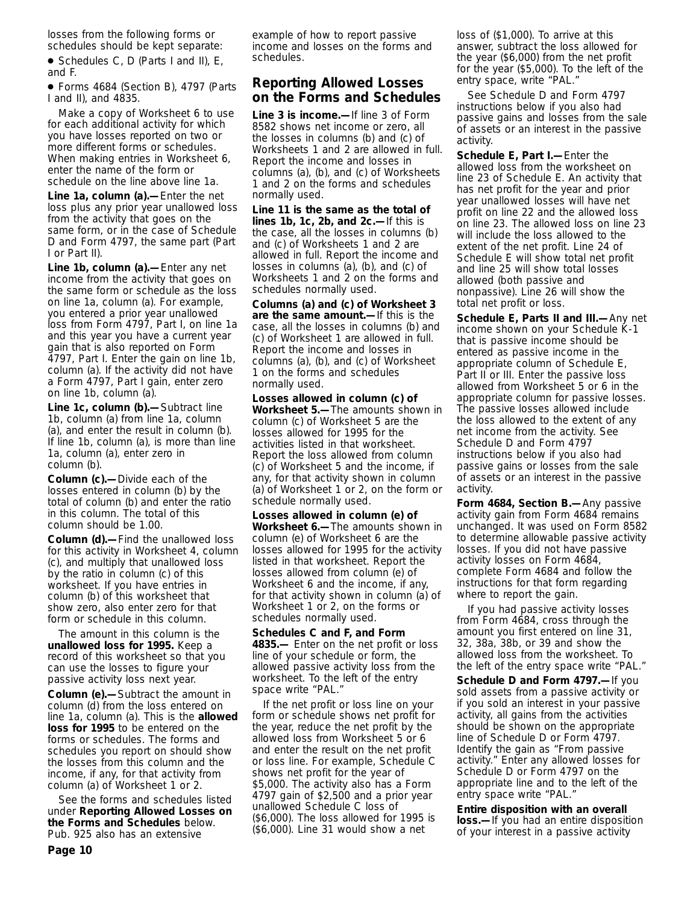losses from the following forms or schedules should be kept separate:

● Schedules C, D (Parts I and II), E, and F.

● Forms 4684 (Section B), 4797 (Parts I and II), and 4835.

Make a copy of Worksheet 6 to use for each additional activity for which you have losses reported on two or more different forms or schedules. When making entries in Worksheet 6, enter the name of the form or schedule on the line above line 1a.

**Line 1a, column (a).—**Enter the net loss plus any prior year unallowed loss from the activity that goes on the same form, or in the case of Schedule D and Form 4797, the same part (Part I or Part II).

**Line 1b, column (a).—**Enter any net income from the activity that goes on the same form or schedule as the loss on line 1a, column (a). For example, you entered a prior year unallowed loss from Form 4797, Part I, on line 1a and this year you have a current year gain that is also reported on Form 4797, Part I. Enter the gain on line 1b, column (a). If the activity did not have a Form 4797, Part I gain, enter zero on line 1b, column (a).

**Line 1c, column (b).—**Subtract line 1b, column (a) from line 1a, column (a), and enter the result in column (b). If line 1b, column (a), is more than line 1a, column (a), enter zero in column (b).

**Column (c).—**Divide each of the losses entered in column (b) by the total of column (b) and enter the ratio in this column. The total of this column should be 1.00.

**Column (d).—**Find the unallowed loss for this activity in Worksheet 4, column (c), and multiply that unallowed loss by the ratio in column (c) of this worksheet. If you have entries in column (b) of this worksheet that show zero, also enter zero for that form or schedule in this column.

The amount in this column is the **unallowed loss for 1995.** Keep a record of this worksheet so that you can use the losses to figure your passive activity loss next year.

**Column (e).—**Subtract the amount in column (d) from the loss entered on line 1a, column (a). This is the **allowed loss for 1995** to be entered on the forms or schedules. The forms and schedules you report on should show the losses from this column and the income, if any, for that activity from column (a) of Worksheet 1 or 2.

See the forms and schedules listed under **Reporting Allowed Losses on the Forms and Schedules** below. Pub. 925 also has an extensive

example of how to report passive income and losses on the forms and schedules.

# **Reporting Allowed Losses on the Forms and Schedules**

**Line 3 is income.—**If line 3 of Form 8582 shows net income or zero, all the losses in columns (b) and (c) of Worksheets 1 and 2 are allowed in full. Report the income and losses in columns (a), (b), and (c) of Worksheets 1 and 2 on the forms and schedules normally used.

**Line 11 is the same as the total of lines 1b, 1c, 2b, and 2c.—**If this is the case, all the losses in columns (b) and (c) of Worksheets 1 and 2 are allowed in full. Report the income and losses in columns (a), (b), and (c) of Worksheets 1 and 2 on the forms and schedules normally used.

**Columns (a) and (c) of Worksheet 3 are the same amount.—**If this is the case, all the losses in columns (b) and (c) of Worksheet 1 are allowed in full. Report the income and losses in columns (a), (b), and (c) of Worksheet 1 on the forms and schedules normally used.

**Losses allowed in column (c) of Worksheet 5.—**The amounts shown in column (c) of Worksheet 5 are the losses allowed for 1995 for the activities listed in that worksheet. Report the loss allowed from column (c) of Worksheet 5 and the income, if any, for that activity shown in column (a) of Worksheet 1 or 2, on the form or schedule normally used.

**Losses allowed in column (e) of Worksheet 6.—**The amounts shown in column (e) of Worksheet 6 are the losses allowed for 1995 for the activity listed in that worksheet. Report the losses allowed from column (e) of Worksheet 6 and the income, if any, for that activity shown in column (a) of Worksheet 1 or 2, on the forms or schedules normally used.

**Schedules C and F, and Form 4835.—** Enter on the net profit or loss line of your schedule or form, the allowed passive activity loss from the worksheet. To the left of the entry space write "PAL."

If the net profit or loss line on your form or schedule shows net profit for the year, reduce the net profit by the allowed loss from Worksheet 5 or 6 and enter the result on the net profit or loss line. For example, Schedule C shows net profit for the year of \$5,000. The activity also has a Form 4797 gain of \$2,500 and a prior year unallowed Schedule C loss of (\$6,000). The loss allowed for 1995 is (\$6,000). Line 31 would show a net

loss of (\$1,000). To arrive at this answer, subtract the loss allowed for the year (\$6,000) from the net profit for the year (\$5,000). To the left of the entry space, write "PAL."

See Schedule D and Form 4797 instructions below if you also had passive gains and losses from the sale of assets or an interest in the passive activity.

**Schedule E, Part I.—**Enter the allowed loss from the worksheet on line 23 of Schedule E. An activity that has net profit for the year and prior year unallowed losses will have net profit on line 22 and the allowed loss on line 23. The allowed loss on line 23 will include the loss allowed to the extent of the net profit. Line 24 of Schedule E will show total net profit and line 25 will show total losses allowed (both passive and nonpassive). Line 26 will show the total net profit or loss.

**Schedule E, Parts II and III.—**Any net income shown on your Schedule K-1 that is passive income should be entered as passive income in the appropriate column of Schedule E, Part II or III. Enter the passive loss allowed from Worksheet 5 or 6 in the appropriate column for passive losses. The passive losses allowed include the loss allowed to the extent of any net income from the activity. See Schedule D and Form 4797 instructions below if you also had passive gains or losses from the sale of assets or an interest in the passive activity.

**Form 4684, Section B.—**Any passive activity gain from Form 4684 remains unchanged. It was used on Form 8582 to determine allowable passive activity losses. If you did not have passive activity losses on Form 4684, complete Form 4684 and follow the instructions for that form regarding where to report the gain.

If you had passive activity losses from Form 4684, cross through the amount you first entered on line 31, 32, 38a, 38b, or 39 and show the allowed loss from the worksheet. To the left of the entry space write "PAL."

**Schedule D and Form 4797.—**If you sold assets from a passive activity or if you sold an interest in your passive activity, all gains from the activities should be shown on the appropriate line of Schedule D or Form 4797. Identify the gain as "From passive activity." Enter any allowed losses for Schedule D or Form 4797 on the appropriate line and to the left of the entry space write "PAL."

**Entire disposition with an overall loss.—**If you had an entire disposition of your interest in a passive activity